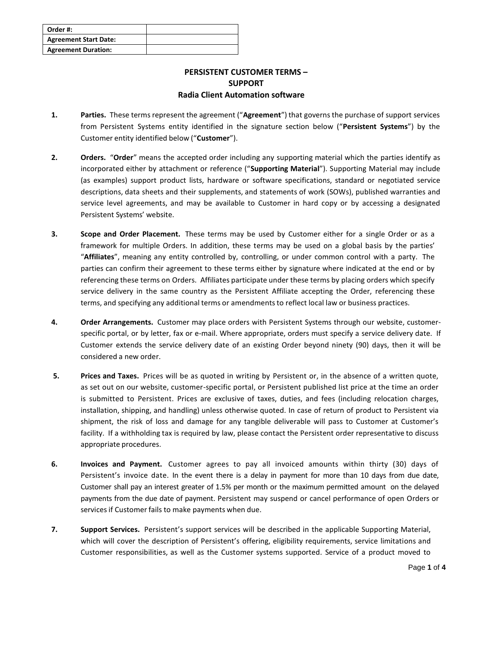| Order #:                     |  |
|------------------------------|--|
| <b>Agreement Start Date:</b> |  |
| <b>Agreement Duration:</b>   |  |

## **PERSISTENT CUSTOMER TERMS – SUPPORT Radia Client Automation software**

- **1. Parties.** These terms represent the agreement ("**Agreement**") that governs the purchase of support services from Persistent Systems entity identified in the signature section below ("**Persistent Systems**") by the Customer entity identified below ("**Customer**").
- **2. Orders.** "**Order**" means the accepted order including any supporting material which the parties identify as incorporated either by attachment or reference ("**Supporting Material**"). Supporting Material may include (as examples) support product lists, hardware or software specifications, standard or negotiated service descriptions, data sheets and their supplements, and statements of work (SOWs), published warranties and service level agreements, and may be available to Customer in hard copy or by accessing a designated Persistent Systems' website.
- **3. Scope and Order Placement.** These terms may be used by Customer either for a single Order or as a framework for multiple Orders. In addition, these terms may be used on a global basis by the parties' "**Affiliates**", meaning any entity controlled by, controlling, or under common control with a party. The parties can confirm their agreement to these terms either by signature where indicated at the end or by referencing these terms on Orders. Affiliates participate under these terms by placing orders which specify service delivery in the same country as the Persistent Affiliate accepting the Order, referencing these terms, and specifying any additional terms or amendmentsto reflect local law or business practices.
- **4. Order Arrangements.** Customer may place orders with Persistent Systems through our website, customerspecific portal, or by letter, fax or e-mail. Where appropriate, orders must specify a service delivery date. If Customer extends the service delivery date of an existing Order beyond ninety (90) days, then it will be considered a new order.
- **5. Prices and Taxes.** Prices will be as quoted in writing by Persistent or, in the absence of a written quote, as set out on our website, customer-specific portal, or Persistent published list price at the time an order is submitted to Persistent. Prices are exclusive of taxes, duties, and fees (including relocation charges, installation, shipping, and handling) unless otherwise quoted. In case of return of product to Persistent via shipment, the risk of loss and damage for any tangible deliverable will pass to Customer at Customer's facility. If a withholding tax is required by law, please contact the Persistent order representative to discuss appropriate procedures.
- **6. Invoices and Payment.** Customer agrees to pay all invoiced amounts within thirty (30) days of Persistent's invoice date. In the event there is a delay in payment for more than 10 days from due date, Customer shall pay an interest greater of 1.5% per month or the maximum permitted amount on the delayed payments from the due date of payment. Persistent may suspend or cancel performance of open Orders or services if Customer fails to make payments when due.
- **7. Support Services.** Persistent's support services will be described in the applicable Supporting Material, which will cover the description of Persistent's offering, eligibility requirements, service limitations and Customer responsibilities, as well as the Customer systems supported. Service of a product moved to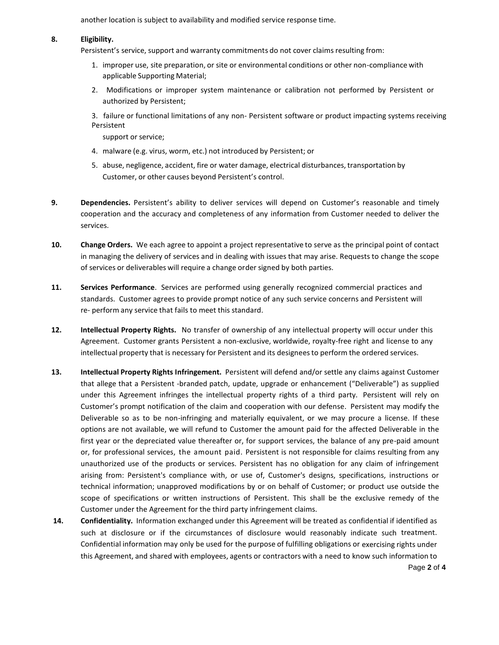another location is subject to availability and modified service response time.

## **8. Eligibility.**

Persistent's service, support and warranty commitments do not cover claims resulting from:

- 1. improper use, site preparation, or site or environmental conditions or other non-compliance with applicable Supporting Material;
- 2. Modifications or improper system maintenance or calibration not performed by Persistent or authorized by Persistent;

3. failure or functional limitations of any non- Persistent software or product impacting systems receiving Persistent

support or service;

- 4. malware (e.g. virus, worm, etc.) not introduced by Persistent; or
- 5. abuse, negligence, accident, fire or water damage, electrical disturbances, transportation by Customer, or other causes beyond Persistent's control.
- **9. Dependencies.** Persistent's ability to deliver services will depend on Customer's reasonable and timely cooperation and the accuracy and completeness of any information from Customer needed to deliver the services.
- **10. Change Orders.** We each agree to appoint a project representative to serve as the principal point of contact in managing the delivery of services and in dealing with issues that may arise. Requests to change the scope of services or deliverables will require a change order signed by both parties.
- **11. Services Performance**. Services are performed using generally recognized commercial practices and standards. Customer agrees to provide prompt notice of any such service concerns and Persistent will re- perform any service that fails to meet this standard.
- **12. Intellectual Property Rights.** No transfer of ownership of any intellectual property will occur under this Agreement. Customer grants Persistent a non-exclusive, worldwide, royalty-free right and license to any intellectual property that is necessary for Persistent and its designeesto perform the ordered services.
- **13. Intellectual Property Rights Infringement.** Persistent will defend and/or settle any claims against Customer that allege that a Persistent -branded patch, update, upgrade or enhancement ("Deliverable") as supplied under this Agreement infringes the intellectual property rights of a third party. Persistent will rely on Customer's prompt notification of the claim and cooperation with our defense. Persistent may modify the Deliverable so as to be non-infringing and materially equivalent, or we may procure a license. If these options are not available, we will refund to Customer the amount paid for the affected Deliverable in the first year or the depreciated value thereafter or, for support services, the balance of any pre-paid amount or, for professional services, the amount paid. Persistent is not responsible for claims resulting from any unauthorized use of the products or services. Persistent has no obligation for any claim of infringement arising from: Persistent's compliance with, or use of, Customer's designs, specifications, instructions or technical information; unapproved modifications by or on behalf of Customer; or product use outside the scope of specifications or written instructions of Persistent. This shall be the exclusive remedy of the Customer under the Agreement for the third party infringement claims.
- **14. Confidentiality.** Information exchanged under this Agreement will be treated as confidential if identified as such at disclosure or if the circumstances of disclosure would reasonably indicate such treatment. Confidential information may only be used for the purpose of fulfilling obligations or exercising rights under this Agreement, and shared with employees, agents or contractors with a need to know such information to

Page **2** of **4**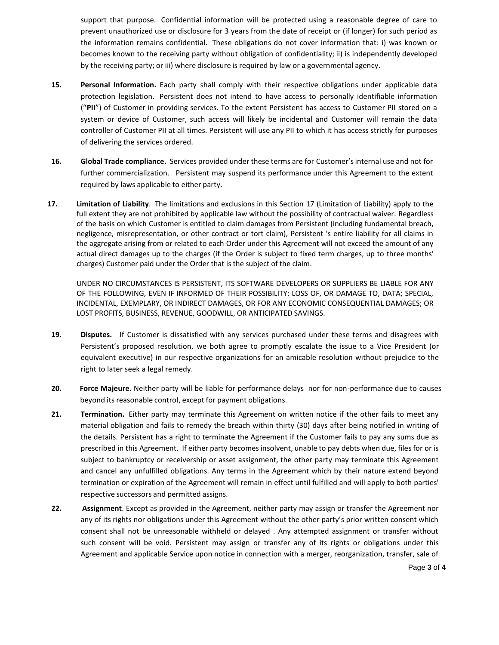support that purpose. Confidential information will be protected using a reasonable degree of care to prevent unauthorized use or disclosure for 3 years from the date of receipt or (if longer) for such period as the information remains confidential. These obligations do not cover information that: i) was known or becomes known to the receiving party without obligation of confidentiality; ii) is independently developed by the receiving party; or iii) where disclosure is required by law or a governmental agency.

- **15. Personal Information.** Each party shall comply with their respective obligations under applicable data protection legislation. Persistent does not intend to have access to personally identifiable information ("**PII**") of Customer in providing services. To the extent Persistent has access to Customer PII stored on a system or device of Customer, such access will likely be incidental and Customer will remain the data controller of Customer PII at all times. Persistent will use any PII to which it has access strictly for purposes of delivering the services ordered.
- **16. Global Trade compliance.** Services provided under these terms are for Customer'sinternal use and not for further commercialization. Persistent may suspend its performance under this Agreement to the extent required by laws applicable to either party.
- **17. Limitation of Liability**. The limitations and exclusions in this Section 17 (Limitation of Liability) apply to the full extent they are not prohibited by applicable law without the possibility of contractual waiver. Regardless of the basis on which Customer is entitled to claim damages from Persistent (including fundamental breach, negligence, misrepresentation, or other contract or tort claim), Persistent 's entire liability for all claims in the aggregate arising from or related to each Order under this Agreement will not exceed the amount of any actual direct damages up to the charges (if the Order is subject to fixed term charges, up to three months' charges) Customer paid under the Order that is the subject of the claim.

UNDER NO CIRCUMSTANCES IS PERSISTENT, ITS SOFTWARE DEVELOPERS OR SUPPLIERS BE LIABLE FOR ANY OF THE FOLLOWING, EVEN IF INFORMED OF THEIR POSSIBILITY: LOSS OF, OR DAMAGE TO, DATA; SPECIAL, INCIDENTAL, EXEMPLARY, OR INDIRECT DAMAGES, OR FOR ANY ECONOMIC CONSEQUENTIAL DAMAGES; OR LOST PROFITS, BUSINESS, REVENUE, GOODWILL, OR ANTICIPATED SAVINGS.

- **19. Disputes.** If Customer is dissatisfied with any services purchased under these terms and disagrees with Persistent's proposed resolution, we both agree to promptly escalate the issue to a Vice President (or equivalent executive) in our respective organizations for an amicable resolution without prejudice to the right to later seek a legal remedy.
- **20. Force Majeure**. Neither party will be liable for performance delays nor for non-performance due to causes beyond its reasonable control, except for payment obligations.
- **21. Termination.** Either party may terminate this Agreement on written notice if the other fails to meet any material obligation and fails to remedy the breach within thirty (30) days after being notified in writing of the details. Persistent has a right to terminate the Agreement if the Customer fails to pay any sums due as prescribed in this Agreement. If either party becomesinsolvent, unable to pay debts when due, files for or is subject to bankruptcy or receivership or asset assignment, the other party may terminate this Agreement and cancel any unfulfilled obligations. Any terms in the Agreement which by their nature extend beyond termination or expiration of the Agreement will remain in effect until fulfilled and will apply to both parties' respective successors and permitted assigns.
- **22. Assignment**. Except as provided in the Agreement, neither party may assign or transfer the Agreement nor any of its rights nor obligations under this Agreement without the other party's prior written consent which consent shall not be unreasonable withheld or delayed . Any attempted assignment or transfer without such consent will be void. Persistent may assign or transfer any of its rights or obligations under this Agreement and applicable Service upon notice in connection with a merger, reorganization, transfer, sale of